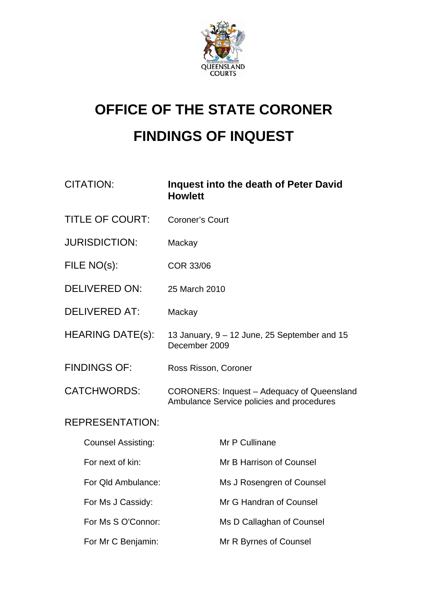

# **OFFICE OF THE STATE CORONER FINDINGS OF INQUEST**

| <b>CITATION:</b>          | Inquest into the death of Peter David<br><b>Howlett</b>                                 |
|---------------------------|-----------------------------------------------------------------------------------------|
| <b>TITLE OF COURT:</b>    | <b>Coroner's Court</b>                                                                  |
| <b>JURISDICTION:</b>      | Mackay                                                                                  |
| FILE NO(s):               | <b>COR 33/06</b>                                                                        |
| <b>DELIVERED ON:</b>      | 25 March 2010                                                                           |
| <b>DELIVERED AT:</b>      | Mackay                                                                                  |
| <b>HEARING DATE(s):</b>   | 13 January, 9 - 12 June, 25 September and 15<br>December 2009                           |
| <b>FINDINGS OF:</b>       | Ross Risson, Coroner                                                                    |
| <b>CATCHWORDS:</b>        | CORONERS: Inquest - Adequacy of Queensland<br>Ambulance Service policies and procedures |
| <b>REPRESENTATION:</b>    |                                                                                         |
| <b>Counsel Assisting:</b> | Mr P Cullinane                                                                          |
| For next of kin:          | Mr B Harrison of Counsel                                                                |
| For Qld Ambulance:        | Ms J Rosengren of Counsel                                                               |
| For Ms J Cassidy:         | Mr G Handran of Counsel                                                                 |
| For Ms S O'Connor:        | Ms D Callaghan of Counsel                                                               |
| For Mr C Benjamin:        | Mr R Byrnes of Counsel                                                                  |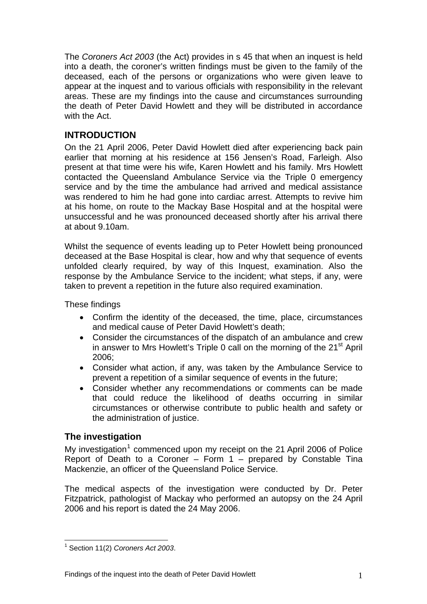The *Coroners Act 2003* (the Act) provides in s 45 that when an inquest is held into a death, the coroner's written findings must be given to the family of the deceased, each of the persons or organizations who were given leave to appear at the inquest and to various officials with responsibility in the relevant areas. These are my findings into the cause and circumstances surrounding the death of Peter David Howlett and they will be distributed in accordance with the Act.

# **INTRODUCTION**

On the 21 April 2006, Peter David Howlett died after experiencing back pain earlier that morning at his residence at 156 Jensen's Road, Farleigh. Also present at that time were his wife, Karen Howlett and his family. Mrs Howlett contacted the Queensland Ambulance Service via the Triple 0 emergency service and by the time the ambulance had arrived and medical assistance was rendered to him he had gone into cardiac arrest. Attempts to revive him at his home, on route to the Mackay Base Hospital and at the hospital were unsuccessful and he was pronounced deceased shortly after his arrival there at about 9.10am.

Whilst the sequence of events leading up to Peter Howlett being pronounced deceased at the Base Hospital is clear, how and why that sequence of events unfolded clearly required, by way of this Inquest, examination. Also the response by the Ambulance Service to the incident; what steps, if any, were taken to prevent a repetition in the future also required examination.

These findings

- Confirm the identity of the deceased, the time, place, circumstances and medical cause of Peter David Howlett's death;
- Consider the circumstances of the dispatch of an ambulance and crew in answer to Mrs Howlett's Triple 0 call on the morning of the  $21<sup>st</sup>$  April 2006;
- Consider what action, if any, was taken by the Ambulance Service to prevent a repetition of a similar sequence of events in the future;
- Consider whether any recommendations or comments can be made that could reduce the likelihood of deaths occurring in similar circumstances or otherwise contribute to public health and safety or the administration of justice.

# **The investigation**

My investigation<sup>[1](#page-1-0)</sup> commenced upon my receipt on the 21 April 2006 of Police Report of Death to a Coroner – Form 1 – prepared by Constable Tina Mackenzie, an officer of the Queensland Police Service.

The medical aspects of the investigation were conducted by Dr. Peter Fitzpatrick, pathologist of Mackay who performed an autopsy on the 24 April 2006 and his report is dated the 24 May 2006.

<span id="page-1-0"></span> $\overline{a}$ 1 Section 11(2) *Coroners Act 2003*.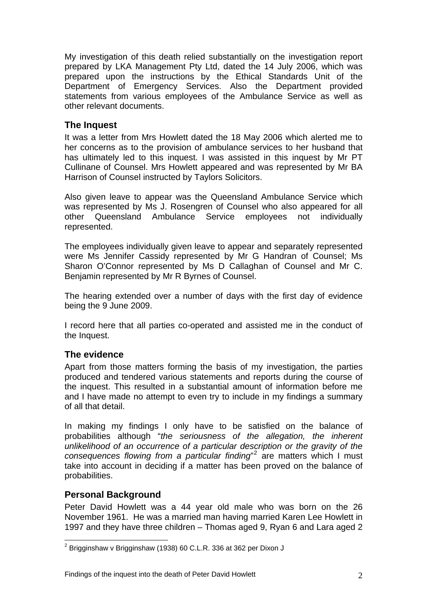My investigation of this death relied substantially on the investigation report prepared by LKA Management Pty Ltd, dated the 14 July 2006, which was prepared upon the instructions by the Ethical Standards Unit of the Department of Emergency Services. Also the Department provided statements from various employees of the Ambulance Service as well as other relevant documents.

## **The Inquest**

It was a letter from Mrs Howlett dated the 18 May 2006 which alerted me to her concerns as to the provision of ambulance services to her husband that has ultimately led to this inquest. I was assisted in this inquest by Mr PT Cullinane of Counsel. Mrs Howlett appeared and was represented by Mr BA Harrison of Counsel instructed by Taylors Solicitors.

Also given leave to appear was the Queensland Ambulance Service which was represented by Ms J. Rosengren of Counsel who also appeared for all other Queensland Ambulance Service employees not individually represented.

The employees individually given leave to appear and separately represented were Ms Jennifer Cassidy represented by Mr G Handran of Counsel; Ms Sharon O'Connor represented by Ms D Callaghan of Counsel and Mr C. Benjamin represented by Mr R Byrnes of Counsel.

The hearing extended over a number of days with the first day of evidence being the 9 June 2009.

I record here that all parties co-operated and assisted me in the conduct of the Inquest.

## **The evidence**

Apart from those matters forming the basis of my investigation, the parties produced and tendered various statements and reports during the course of the inquest. This resulted in a substantial amount of information before me and I have made no attempt to even try to include in my findings a summary of all that detail.

In making my findings I only have to be satisfied on the balance of probabilities although "*the seriousness of the allegation, the inherent unlikelihood of an occurrence of a particular description or the gravity of the consequences flowing from a particular finding*" [2](#page-2-0) are matters which I must take into account in deciding if a matter has been proved on the balance of probabilities.

# **Personal Background**

 $\overline{a}$ 

Peter David Howlett was a 44 year old male who was born on the 26 November 1961. He was a married man having married Karen Lee Howlett in 1997 and they have three children – Thomas aged 9, Ryan 6 and Lara aged 2

<span id="page-2-0"></span> $^{\rm 2}$  Brigginshaw v Brigginshaw (1938) 60 C.L.R. 336 at 362 per Dixon J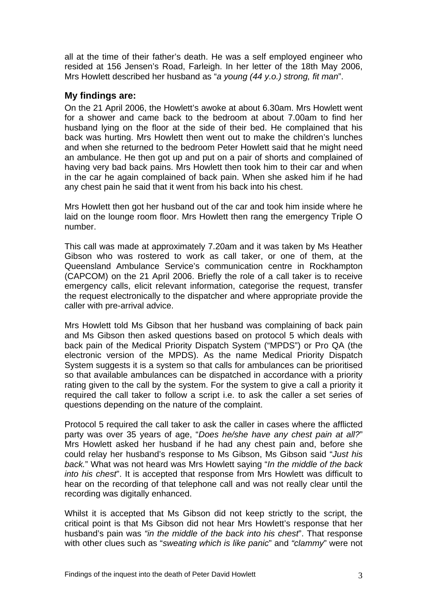all at the time of their father's death. He was a self employed engineer who resided at 156 Jensen's Road, Farleigh. In her letter of the 18th May 2006, Mrs Howlett described her husband as "*a young (44 y.o.) strong, fit man*".

### **My findings are:**

On the 21 April 2006, the Howlett's awoke at about 6.30am. Mrs Howlett went for a shower and came back to the bedroom at about 7.00am to find her husband lying on the floor at the side of their bed. He complained that his back was hurting. Mrs Howlett then went out to make the children's lunches and when she returned to the bedroom Peter Howlett said that he might need an ambulance. He then got up and put on a pair of shorts and complained of having very bad back pains. Mrs Howlett then took him to their car and when in the car he again complained of back pain. When she asked him if he had any chest pain he said that it went from his back into his chest.

Mrs Howlett then got her husband out of the car and took him inside where he laid on the lounge room floor. Mrs Howlett then rang the emergency Triple O number.

This call was made at approximately 7.20am and it was taken by Ms Heather Gibson who was rostered to work as call taker, or one of them, at the Queensland Ambulance Service's communication centre in Rockhampton (CAPCOM) on the 21 April 2006. Briefly the role of a call taker is to receive emergency calls, elicit relevant information, categorise the request, transfer the request electronically to the dispatcher and where appropriate provide the caller with pre-arrival advice.

Mrs Howlett told Ms Gibson that her husband was complaining of back pain and Ms Gibson then asked questions based on protocol 5 which deals with back pain of the Medical Priority Dispatch System ("MPDS") or Pro QA (the electronic version of the MPDS). As the name Medical Priority Dispatch System suggests it is a system so that calls for ambulances can be prioritised so that available ambulances can be dispatched in accordance with a priority rating given to the call by the system. For the system to give a call a priority it required the call taker to follow a script i.e. to ask the caller a set series of questions depending on the nature of the complaint.

Protocol 5 required the call taker to ask the caller in cases where the afflicted party was over 35 years of age, "*Does he/she have any chest pain at all?*" Mrs Howlett asked her husband if he had any chest pain and, before she could relay her husband's response to Ms Gibson, Ms Gibson said "*Just his back.*" What was not heard was Mrs Howlett saying "*In the middle of the back into his chest*". It is accepted that response from Mrs Howlett was difficult to hear on the recording of that telephone call and was not really clear until the recording was digitally enhanced.

Whilst it is accepted that Ms Gibson did not keep strictly to the script, the critical point is that Ms Gibson did not hear Mrs Howlett's response that her husband's pain was *"in the middle of the back into his chest*". That response with other clues such as "*sweating which is like panic*" and *"clammy*" were not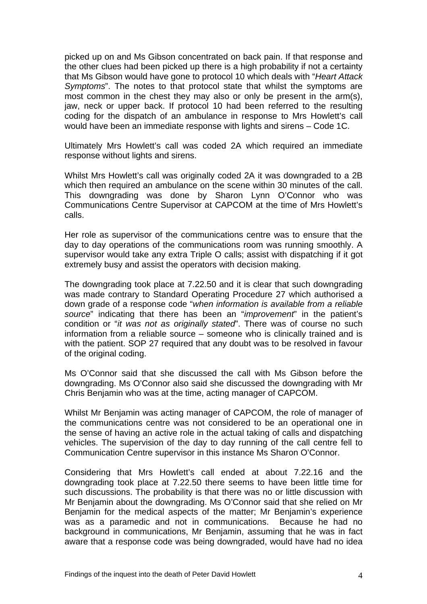picked up on and Ms Gibson concentrated on back pain. If that response and the other clues had been picked up there is a high probability if not a certainty that Ms Gibson would have gone to protocol 10 which deals with "*Heart Attack Symptoms*". The notes to that protocol state that whilst the symptoms are most common in the chest they may also or only be present in the arm(s), jaw, neck or upper back. If protocol 10 had been referred to the resulting coding for the dispatch of an ambulance in response to Mrs Howlett's call would have been an immediate response with lights and sirens – Code 1C.

Ultimately Mrs Howlett's call was coded 2A which required an immediate response without lights and sirens.

Whilst Mrs Howlett's call was originally coded 2A it was downgraded to a 2B which then required an ambulance on the scene within 30 minutes of the call. This downgrading was done by Sharon Lynn O'Connor who was Communications Centre Supervisor at CAPCOM at the time of Mrs Howlett's calls.

Her role as supervisor of the communications centre was to ensure that the day to day operations of the communications room was running smoothly. A supervisor would take any extra Triple O calls; assist with dispatching if it got extremely busy and assist the operators with decision making.

The downgrading took place at 7.22.50 and it is clear that such downgrading was made contrary to Standard Operating Procedure 27 which authorised a down grade of a response code "*when information is available from a reliable source*" indicating that there has been an "*improvement*" in the patient's condition or "*it was not as originally stated*". There was of course no such information from a reliable source – someone who is clinically trained and is with the patient. SOP 27 required that any doubt was to be resolved in favour of the original coding.

Ms O'Connor said that she discussed the call with Ms Gibson before the downgrading. Ms O'Connor also said she discussed the downgrading with Mr Chris Benjamin who was at the time, acting manager of CAPCOM.

Whilst Mr Benjamin was acting manager of CAPCOM, the role of manager of the communications centre was not considered to be an operational one in the sense of having an active role in the actual taking of calls and dispatching vehicles. The supervision of the day to day running of the call centre fell to Communication Centre supervisor in this instance Ms Sharon O'Connor.

Considering that Mrs Howlett's call ended at about 7.22.16 and the downgrading took place at 7.22.50 there seems to have been little time for such discussions. The probability is that there was no or little discussion with Mr Benjamin about the downgrading. Ms O'Connor said that she relied on Mr Benjamin for the medical aspects of the matter; Mr Benjamin's experience was as a paramedic and not in communications. Because he had no background in communications, Mr Benjamin, assuming that he was in fact aware that a response code was being downgraded, would have had no idea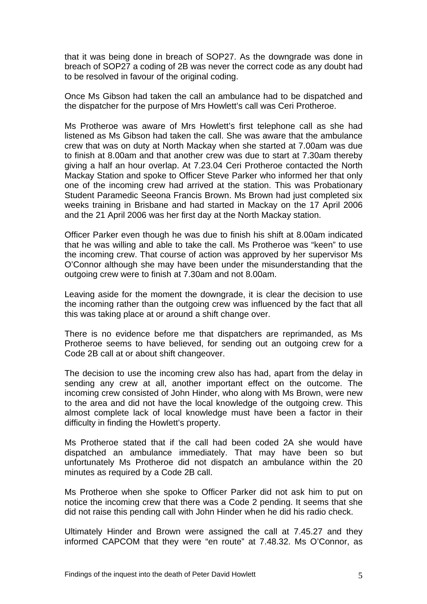that it was being done in breach of SOP27. As the downgrade was done in breach of SOP27 a coding of 2B was never the correct code as any doubt had to be resolved in favour of the original coding.

Once Ms Gibson had taken the call an ambulance had to be dispatched and the dispatcher for the purpose of Mrs Howlett's call was Ceri Protheroe.

Ms Protheroe was aware of Mrs Howlett's first telephone call as she had listened as Ms Gibson had taken the call. She was aware that the ambulance crew that was on duty at North Mackay when she started at 7.00am was due to finish at 8.00am and that another crew was due to start at 7.30am thereby giving a half an hour overlap. At 7.23.04 Ceri Protheroe contacted the North Mackay Station and spoke to Officer Steve Parker who informed her that only one of the incoming crew had arrived at the station. This was Probationary Student Paramedic Seeona Francis Brown. Ms Brown had just completed six weeks training in Brisbane and had started in Mackay on the 17 April 2006 and the 21 April 2006 was her first day at the North Mackay station.

Officer Parker even though he was due to finish his shift at 8.00am indicated that he was willing and able to take the call. Ms Protheroe was "keen" to use the incoming crew. That course of action was approved by her supervisor Ms O'Connor although she may have been under the misunderstanding that the outgoing crew were to finish at 7.30am and not 8.00am.

Leaving aside for the moment the downgrade, it is clear the decision to use the incoming rather than the outgoing crew was influenced by the fact that all this was taking place at or around a shift change over.

There is no evidence before me that dispatchers are reprimanded, as Ms Protheroe seems to have believed, for sending out an outgoing crew for a Code 2B call at or about shift changeover.

The decision to use the incoming crew also has had, apart from the delay in sending any crew at all, another important effect on the outcome. The incoming crew consisted of John Hinder, who along with Ms Brown, were new to the area and did not have the local knowledge of the outgoing crew. This almost complete lack of local knowledge must have been a factor in their difficulty in finding the Howlett's property.

Ms Protheroe stated that if the call had been coded 2A she would have dispatched an ambulance immediately. That may have been so but unfortunately Ms Protheroe did not dispatch an ambulance within the 20 minutes as required by a Code 2B call.

Ms Protheroe when she spoke to Officer Parker did not ask him to put on notice the incoming crew that there was a Code 2 pending. It seems that she did not raise this pending call with John Hinder when he did his radio check.

Ultimately Hinder and Brown were assigned the call at 7.45.27 and they informed CAPCOM that they were "en route" at 7.48.32. Ms O'Connor, as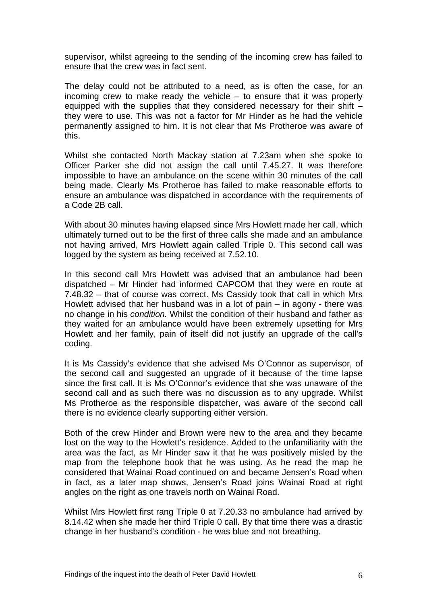supervisor, whilst agreeing to the sending of the incoming crew has failed to ensure that the crew was in fact sent.

The delay could not be attributed to a need, as is often the case, for an incoming crew to make ready the vehicle – to ensure that it was properly equipped with the supplies that they considered necessary for their shift – they were to use. This was not a factor for Mr Hinder as he had the vehicle permanently assigned to him. It is not clear that Ms Protheroe was aware of this.

Whilst she contacted North Mackay station at 7.23am when she spoke to Officer Parker she did not assign the call until 7.45.27. It was therefore impossible to have an ambulance on the scene within 30 minutes of the call being made. Clearly Ms Protheroe has failed to make reasonable efforts to ensure an ambulance was dispatched in accordance with the requirements of a Code 2B call.

With about 30 minutes having elapsed since Mrs Howlett made her call, which ultimately turned out to be the first of three calls she made and an ambulance not having arrived, Mrs Howlett again called Triple 0. This second call was logged by the system as being received at 7.52.10.

In this second call Mrs Howlett was advised that an ambulance had been dispatched – Mr Hinder had informed CAPCOM that they were en route at 7.48.32 – that of course was correct. Ms Cassidy took that call in which Mrs Howlett advised that her husband was in a lot of pain – in agony - there was no change in his *condition.* Whilst the condition of their husband and father as they waited for an ambulance would have been extremely upsetting for Mrs Howlett and her family, pain of itself did not justify an upgrade of the call's coding.

It is Ms Cassidy's evidence that she advised Ms O'Connor as supervisor, of the second call and suggested an upgrade of it because of the time lapse since the first call. It is Ms O'Connor's evidence that she was unaware of the second call and as such there was no discussion as to any upgrade. Whilst Ms Protheroe as the responsible dispatcher, was aware of the second call there is no evidence clearly supporting either version.

Both of the crew Hinder and Brown were new to the area and they became lost on the way to the Howlett's residence. Added to the unfamiliarity with the area was the fact, as Mr Hinder saw it that he was positively misled by the map from the telephone book that he was using. As he read the map he considered that Wainai Road continued on and became Jensen's Road when in fact, as a later map shows, Jensen's Road joins Wainai Road at right angles on the right as one travels north on Wainai Road.

Whilst Mrs Howlett first rang Triple 0 at 7.20.33 no ambulance had arrived by 8.14.42 when she made her third Triple 0 call. By that time there was a drastic change in her husband's condition - he was blue and not breathing.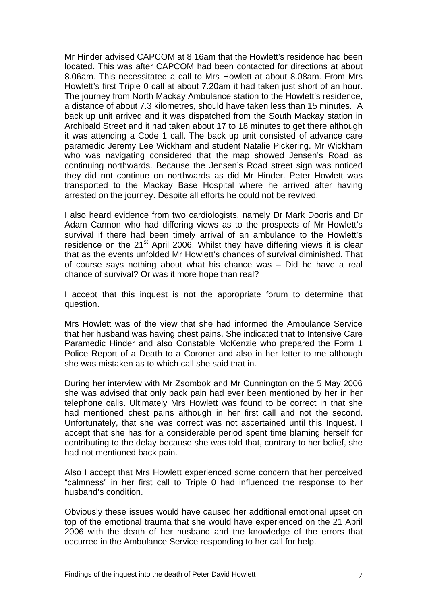Mr Hinder advised CAPCOM at 8.16am that the Howlett's residence had been located. This was after CAPCOM had been contacted for directions at about 8.06am. This necessitated a call to Mrs Howlett at about 8.08am. From Mrs Howlett's first Triple 0 call at about 7.20am it had taken just short of an hour. The journey from North Mackay Ambulance station to the Howlett's residence, a distance of about 7.3 kilometres, should have taken less than 15 minutes. A back up unit arrived and it was dispatched from the South Mackay station in Archibald Street and it had taken about 17 to 18 minutes to get there although it was attending a Code 1 call. The back up unit consisted of advance care paramedic Jeremy Lee Wickham and student Natalie Pickering. Mr Wickham who was navigating considered that the map showed Jensen's Road as continuing northwards. Because the Jensen's Road street sign was noticed they did not continue on northwards as did Mr Hinder. Peter Howlett was transported to the Mackay Base Hospital where he arrived after having arrested on the journey. Despite all efforts he could not be revived.

I also heard evidence from two cardiologists, namely Dr Mark Dooris and Dr Adam Cannon who had differing views as to the prospects of Mr Howlett's survival if there had been timely arrival of an ambulance to the Howlett's residence on the  $21<sup>st</sup>$  April 2006. Whilst they have differing views it is clear that as the events unfolded Mr Howlett's chances of survival diminished. That of course says nothing about what his chance was – Did he have a real chance of survival? Or was it more hope than real?

I accept that this inquest is not the appropriate forum to determine that question.

Mrs Howlett was of the view that she had informed the Ambulance Service that her husband was having chest pains. She indicated that to Intensive Care Paramedic Hinder and also Constable McKenzie who prepared the Form 1 Police Report of a Death to a Coroner and also in her letter to me although she was mistaken as to which call she said that in.

During her interview with Mr Zsombok and Mr Cunnington on the 5 May 2006 she was advised that only back pain had ever been mentioned by her in her telephone calls. Ultimately Mrs Howlett was found to be correct in that she had mentioned chest pains although in her first call and not the second. Unfortunately, that she was correct was not ascertained until this Inquest. I accept that she has for a considerable period spent time blaming herself for contributing to the delay because she was told that, contrary to her belief, she had not mentioned back pain.

Also I accept that Mrs Howlett experienced some concern that her perceived "calmness" in her first call to Triple 0 had influenced the response to her husband's condition.

Obviously these issues would have caused her additional emotional upset on top of the emotional trauma that she would have experienced on the 21 April 2006 with the death of her husband and the knowledge of the errors that occurred in the Ambulance Service responding to her call for help.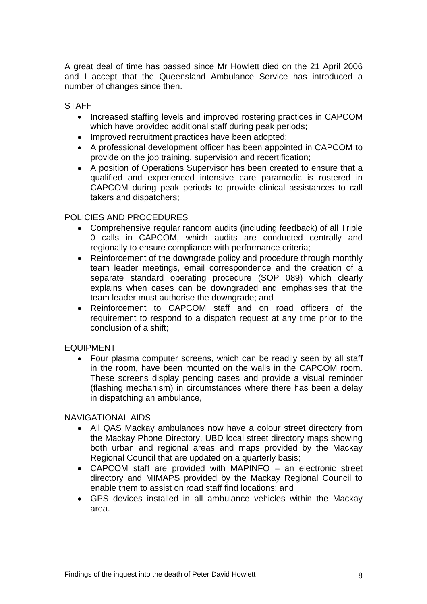A great deal of time has passed since Mr Howlett died on the 21 April 2006 and I accept that the Queensland Ambulance Service has introduced a number of changes since then.

#### **STAFF**

- Increased staffing levels and improved rostering practices in CAPCOM which have provided additional staff during peak periods;
- Improved recruitment practices have been adopted;
- A professional development officer has been appointed in CAPCOM to provide on the job training, supervision and recertification;
- A position of Operations Supervisor has been created to ensure that a qualified and experienced intensive care paramedic is rostered in CAPCOM during peak periods to provide clinical assistances to call takers and dispatchers;

#### POLICIES AND PROCEDURES

- Comprehensive regular random audits (including feedback) of all Triple 0 calls in CAPCOM, which audits are conducted centrally and regionally to ensure compliance with performance criteria;
- Reinforcement of the downgrade policy and procedure through monthly team leader meetings, email correspondence and the creation of a separate standard operating procedure (SOP 089) which clearly explains when cases can be downgraded and emphasises that the team leader must authorise the downgrade; and
- Reinforcement to CAPCOM staff and on road officers of the requirement to respond to a dispatch request at any time prior to the conclusion of a shift;

#### EQUIPMENT

• Four plasma computer screens, which can be readily seen by all staff in the room, have been mounted on the walls in the CAPCOM room. These screens display pending cases and provide a visual reminder (flashing mechanism) in circumstances where there has been a delay in dispatching an ambulance,

#### NAVIGATIONAL AIDS

- All QAS Mackay ambulances now have a colour street directory from the Mackay Phone Directory, UBD local street directory maps showing both urban and regional areas and maps provided by the Mackay Regional Council that are updated on a quarterly basis;
- CAPCOM staff are provided with MAPINFO an electronic street directory and MIMAPS provided by the Mackay Regional Council to enable them to assist on road staff find locations; and
- GPS devices installed in all ambulance vehicles within the Mackay area.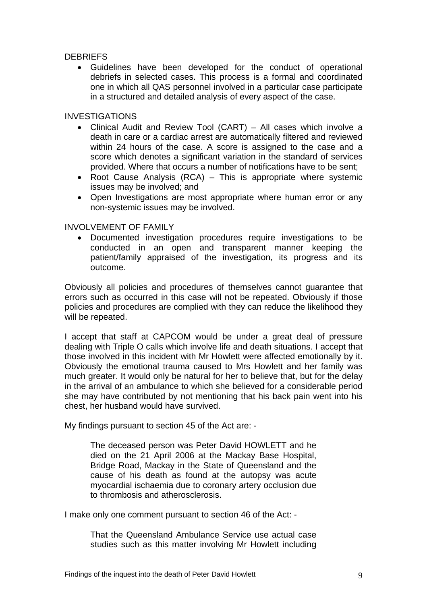#### **DEBRIEFS**

• Guidelines have been developed for the conduct of operational debriefs in selected cases. This process is a formal and coordinated one in which all QAS personnel involved in a particular case participate in a structured and detailed analysis of every aspect of the case.

#### INVESTIGATIONS

- Clinical Audit and Review Tool (CART) All cases which involve a death in care or a cardiac arrest are automatically filtered and reviewed within 24 hours of the case. A score is assigned to the case and a score which denotes a significant variation in the standard of services provided. Where that occurs a number of notifications have to be sent;
- Root Cause Analysis (RCA) This is appropriate where systemic issues may be involved; and
- Open Investigations are most appropriate where human error or any non-systemic issues may be involved.

#### INVOLVEMENT OF FAMILY

• Documented investigation procedures require investigations to be conducted in an open and transparent manner keeping the patient/family appraised of the investigation, its progress and its outcome.

Obviously all policies and procedures of themselves cannot guarantee that errors such as occurred in this case will not be repeated. Obviously if those policies and procedures are complied with they can reduce the likelihood they will be repeated.

I accept that staff at CAPCOM would be under a great deal of pressure dealing with Triple O calls which involve life and death situations. I accept that those involved in this incident with Mr Howlett were affected emotionally by it. Obviously the emotional trauma caused to Mrs Howlett and her family was much greater. It would only be natural for her to believe that, but for the delay in the arrival of an ambulance to which she believed for a considerable period she may have contributed by not mentioning that his back pain went into his chest, her husband would have survived.

My findings pursuant to section 45 of the Act are: -

The deceased person was Peter David HOWLETT and he died on the 21 April 2006 at the Mackay Base Hospital, Bridge Road, Mackay in the State of Queensland and the cause of his death as found at the autopsy was acute myocardial ischaemia due to coronary artery occlusion due to thrombosis and atherosclerosis.

I make only one comment pursuant to section 46 of the Act: -

That the Queensland Ambulance Service use actual case studies such as this matter involving Mr Howlett including